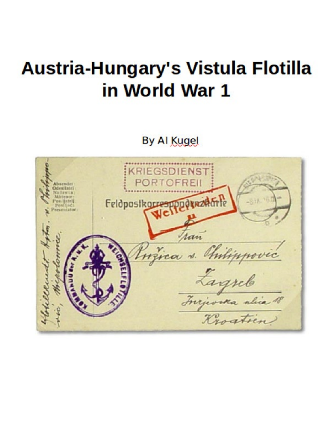#### Austria-Hungary's Vistula Flotilla in World War 1

**By Al Kugel** 

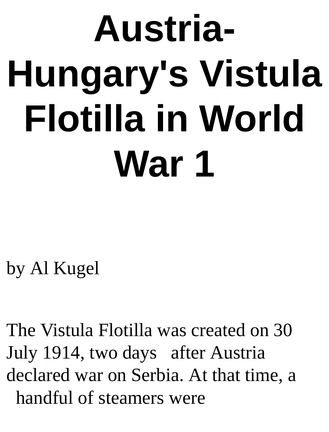# **Austria-Hungary's Vistula Flotilla in World War 1**

by Al Kugel

The Vistula Flotilla was created on 30 July 1914, two days after Austria declared war on Serbia. At that time, a handful of steamers were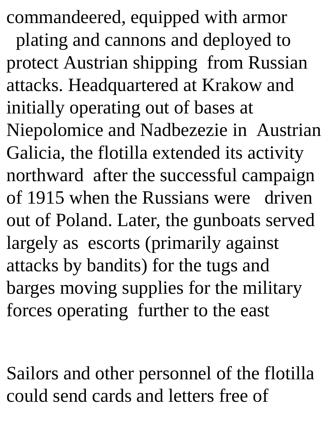commandeered, equipped with armor plating and cannons and deployed to protect Austrian shipping from Russian attacks. Headquartered at Krakow and initially operating out of bases at Niepolomice and Nadbezezie in Austrian Galicia, the flotilla extended its activity northward after the successful campaign of 1915 when the Russians were driven out of Poland. Later, the gunboats served largely as escorts (primarily against attacks by bandits) for the tugs and barges moving supplies for the military forces operating further to the east

Sailors and other personnel of the flotilla could send cards and letters free of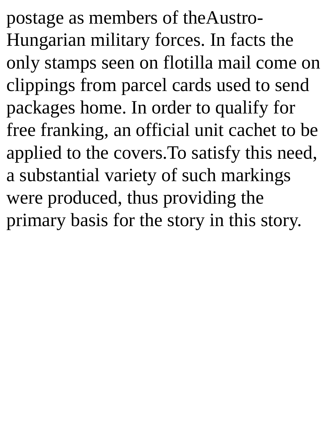postage as members of theAustro-Hungarian military forces. In facts the only stamps seen on flotilla mail come on clippings from parcel cards used to send packages home. In order to qualify for free franking, an official unit cachet to be applied to the covers.To satisfy this need, a substantial variety of such markings were produced, thus providing the primary basis for the story in this story.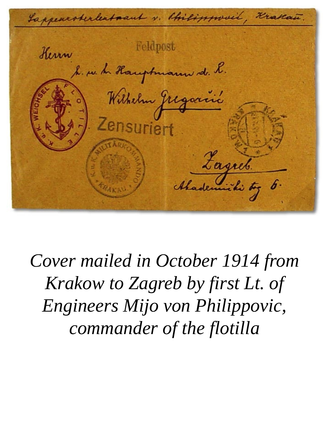Lappearsterleatnant v. Chilippovici, Krokan Feldpost Herrn h. si h Hauptmann d. R. Withelm gregorit Zensuriert Lagret.

*Cover mailed in October 1914 from Krakow to Zagreb by first Lt. of Engineers Mijo von Philippovic, commander of the flotilla*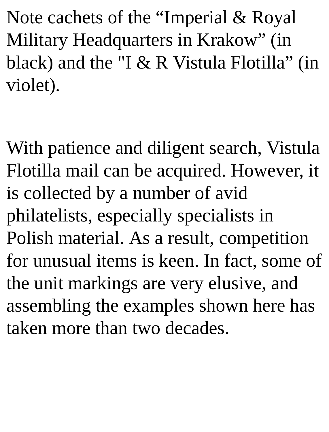Note cachets of the "Imperial & Royal Military Headquarters in Krakow" (in black) and the "I & R Vistula Flotilla" (in violet).

With patience and diligent search, Vistula Flotilla mail can be acquired. However, it is collected by a number of avid philatelists, especially specialists in Polish material. As a result, competition for unusual items is keen. In fact, some of the unit markings are very elusive, and assembling the examples shown here has taken more than two decades.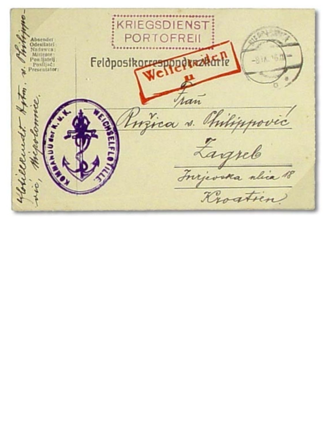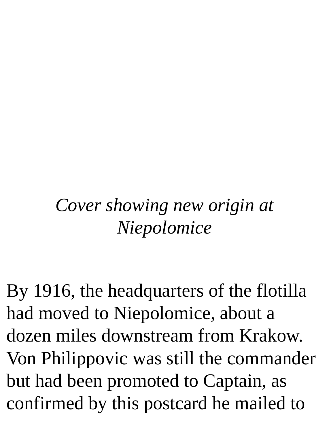### *Cover showing new origin at Niepolomice*

By 1916, the headquarters of the flotilla had moved to Niepolomice, about a dozen miles downstream from Krakow. Von Philippovic was still the commander but had been promoted to Captain, as confirmed by this postcard he mailed to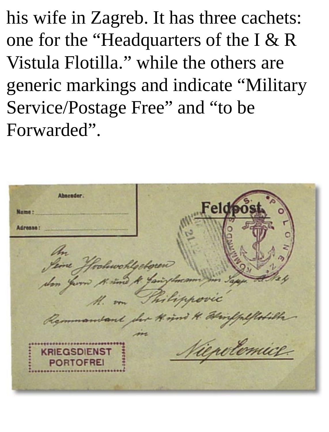his wife in Zagreb. It has three cachets: one for the "Headquarters of the I & R Vistula Flotilla." while the others are generic markings and indicate "Military Service/Postage Free" and "to be Forwarded".

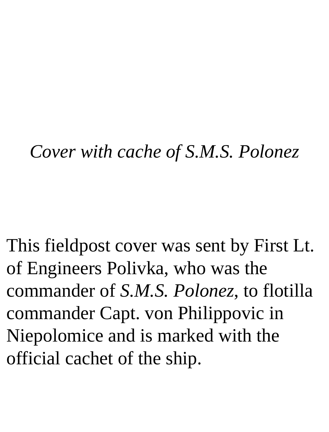#### *Cover with cache of S.M.S. Polonez*

This fieldpost cover was sent by First Lt. of Engineers Polivka, who was the commander of *S.M.S. Polonez*, to flotilla commander Capt. von Philippovic in Niepolomice and is marked with the official cachet of the ship.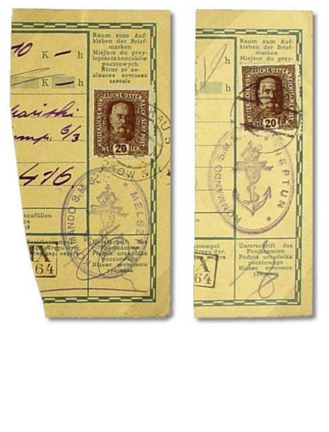

Raum zum Aufkleben der Brief. marken Miejsce do przyĥ **JOHN OSTE** h **POLD** Unterschrift das istempel ru dyr. Postbhamten Podpis uracdatka Trn poeztowygo пустово 1 Product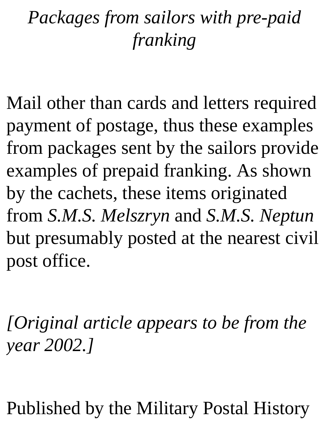## *Packages from sailors with pre-paid franking*

Mail other than cards and letters required payment of postage, thus these examples from packages sent by the sailors provide examples of prepaid franking. As shown by the cachets, these items originated from *S.M.S. Melszryn* and *S.M.S. Neptun* but presumably posted at the nearest civil post office.

*[Original article appears to be from the year 2002.]*

Published by the Military Postal History